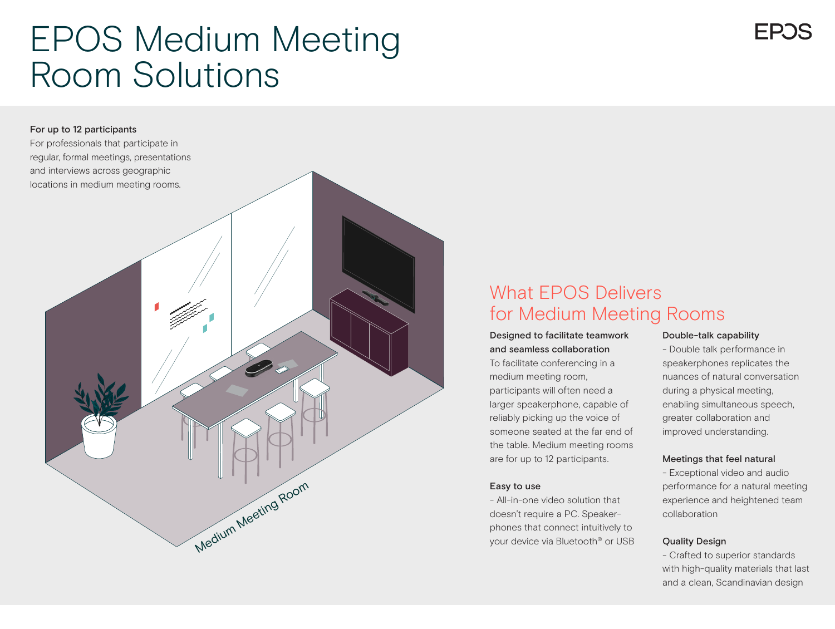## EPOS Medium Meeting Room Solutions

# Medium Meeting Room For up to 12 participants For professionals that participate in regular, formal meetings, presentations and interviews across geographic locations in medium meeting rooms.

### What EPOS Delivers for Medium Meeting Rooms

#### Designed to facilitate teamwork and seamless collaboration

To facilitate conferencing in a medium meeting room, participants will often need a larger speakerphone, capable of reliably picking up the voice of someone seated at the far end of the table. Medium meeting rooms are for up to 12 participants.

#### Easy to use

- All-in-one video solution that doesn't require a PC. Speakerphones that connect intuitively to your device via Bluetooth® or USB

#### Double-talk capability

- Double talk performance in speakerphones replicates the nuances of natural conversation during a physical meeting, enabling simultaneous speech, greater collaboration and improved understanding.

#### Meetings that feel natural

- Exceptional video and audio performance for a natural meeting experience and heightened team collaboration

#### Quality Design

- Crafted to superior standards with high-quality materials that last and a clean, Scandinavian design